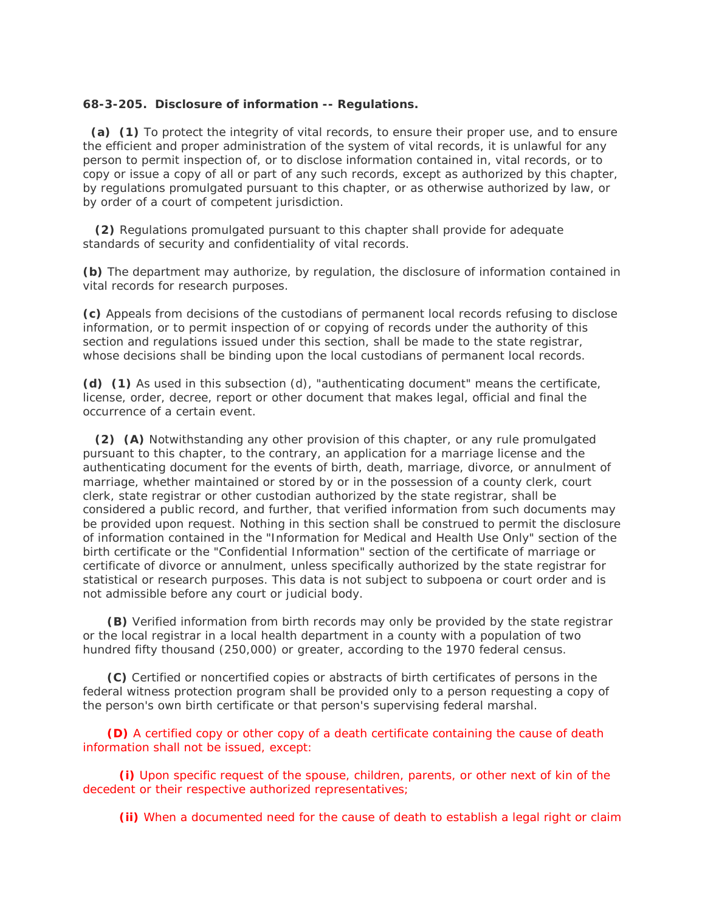## **68-3-205. Disclosure of information -- Regulations.**

 **(a) (1)** To protect the integrity of vital records, to ensure their proper use, and to ensure the efficient and proper administration of the system of vital records, it is unlawful for any person to permit inspection of, or to disclose information contained in, vital records, or to copy or issue a copy of all or part of any such records, except as authorized by this chapter, by regulations promulgated pursuant to this chapter, or as otherwise authorized by law, or by order of a court of competent jurisdiction.

 **(2)** Regulations promulgated pursuant to this chapter shall provide for adequate standards of security and confidentiality of vital records.

**(b)** The department may authorize, by regulation, the disclosure of information contained in vital records for research purposes.

**(c)** Appeals from decisions of the custodians of permanent local records refusing to disclose information, or to permit inspection of or copying of records under the authority of this section and regulations issued under this section, shall be made to the state registrar, whose decisions shall be binding upon the local custodians of permanent local records.

**(d) (1)** As used in this subsection (d), "authenticating document" means the certificate, license, order, decree, report or other document that makes legal, official and final the occurrence of a certain event.

 **(2) (A)** Notwithstanding any other provision of this chapter, or any rule promulgated pursuant to this chapter, to the contrary, an application for a marriage license and the authenticating document for the events of birth, death, marriage, divorce, or annulment of marriage, whether maintained or stored by or in the possession of a county clerk, court clerk, state registrar or other custodian authorized by the state registrar, shall be considered a public record, and further, that verified information from such documents may be provided upon request. Nothing in this section shall be construed to permit the disclosure of information contained in the "Information for Medical and Health Use Only" section of the birth certificate or the "Confidential Information" section of the certificate of marriage or certificate of divorce or annulment, unless specifically authorized by the state registrar for statistical or research purposes. This data is not subject to subpoena or court order and is not admissible before any court or judicial body.

 **(B)** Verified information from birth records may only be provided by the state registrar or the local registrar in a local health department in a county with a population of two hundred fifty thousand (250,000) or greater, according to the 1970 federal census.

 **(C)** Certified or noncertified copies or abstracts of birth certificates of persons in the federal witness protection program shall be provided only to a person requesting a copy of the person's own birth certificate or that person's supervising federal marshal.

 **(D)** A certified copy or other copy of a death certificate containing the cause of death information shall not be issued, except:

 **(i)** Upon specific request of the spouse, children, parents, or other next of kin of the decedent or their respective authorized representatives;

**(ii)** When a documented need for the cause of death to establish a legal right or claim